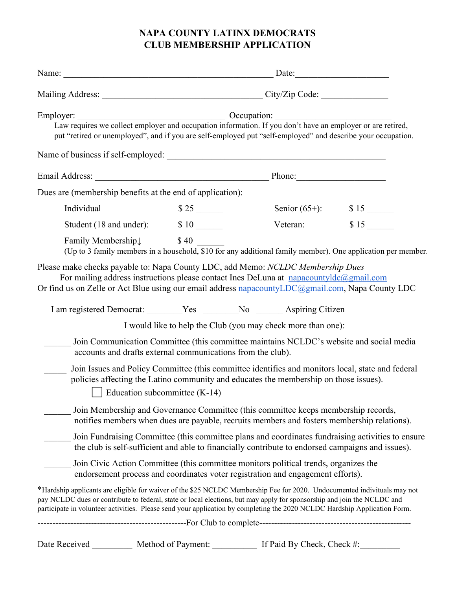# **NAPA COUNTY LATINX DEMOCRATS CLUB MEMBERSHIP APPLICATION**

|                                                                                                                                                                                                                                                                                                                                                                                  |                                 | Name: Date: Date:                                                                                                                                                                                                                                                                                                                                                                                                    |      |
|----------------------------------------------------------------------------------------------------------------------------------------------------------------------------------------------------------------------------------------------------------------------------------------------------------------------------------------------------------------------------------|---------------------------------|----------------------------------------------------------------------------------------------------------------------------------------------------------------------------------------------------------------------------------------------------------------------------------------------------------------------------------------------------------------------------------------------------------------------|------|
|                                                                                                                                                                                                                                                                                                                                                                                  |                                 |                                                                                                                                                                                                                                                                                                                                                                                                                      |      |
| Employer:<br>Law requires we collect employer and occupation information. If you don't have an employer or are retired,<br>put "retired or unemployed", and if you are self-employed put "self-employed" and describe your occupation.                                                                                                                                           |                                 | $\frac{1}{\sqrt{1-\frac{1}{2}}\sqrt{1-\frac{1}{2}}\sqrt{1-\frac{1}{2}}\sqrt{1-\frac{1}{2}}\sqrt{1-\frac{1}{2}}\sqrt{1-\frac{1}{2}}\sqrt{1-\frac{1}{2}}\sqrt{1-\frac{1}{2}}\sqrt{1-\frac{1}{2}}\sqrt{1-\frac{1}{2}}\sqrt{1-\frac{1}{2}}\sqrt{1-\frac{1}{2}}\sqrt{1-\frac{1}{2}}\sqrt{1-\frac{1}{2}}\sqrt{1-\frac{1}{2}}\sqrt{1-\frac{1}{2}}\sqrt{1-\frac{1}{2}}\sqrt{1-\frac{1}{2}}\sqrt{1-\frac{1}{2}}\sqrt{1-\frac$ |      |
|                                                                                                                                                                                                                                                                                                                                                                                  |                                 |                                                                                                                                                                                                                                                                                                                                                                                                                      |      |
|                                                                                                                                                                                                                                                                                                                                                                                  |                                 |                                                                                                                                                                                                                                                                                                                                                                                                                      |      |
| Dues are (membership benefits at the end of application):                                                                                                                                                                                                                                                                                                                        |                                 |                                                                                                                                                                                                                                                                                                                                                                                                                      |      |
| Individual                                                                                                                                                                                                                                                                                                                                                                       |                                 |                                                                                                                                                                                                                                                                                                                                                                                                                      |      |
|                                                                                                                                                                                                                                                                                                                                                                                  |                                 | Veteran:                                                                                                                                                                                                                                                                                                                                                                                                             | \$15 |
| Family Membership $\downarrow$<br>(Up to 3 family members in a household, \$10 for any additional family member). One application per member.                                                                                                                                                                                                                                    | \$40                            |                                                                                                                                                                                                                                                                                                                                                                                                                      |      |
| For mailing address instructions please contact Ines DeLuna at napacountyldc@gmail.com<br>Or find us on Zelle or Act Blue using our email address napacounty LDC@gmail.com, Napa County LDC<br>I am registered Democrat: _______Yes _______No _____Aspiring Citizen<br>accounts and drafts external communications from the club).                                               |                                 | I would like to help the Club (you may check more than one):<br>Join Communication Committee (this committee maintains NCLDC's website and social media                                                                                                                                                                                                                                                              |      |
|                                                                                                                                                                                                                                                                                                                                                                                  | Education subcommittee $(K-14)$ | Join Issues and Policy Committee (this committee identifies and monitors local, state and federal<br>policies affecting the Latino community and educates the membership on those issues).                                                                                                                                                                                                                           |      |
|                                                                                                                                                                                                                                                                                                                                                                                  |                                 | Join Membership and Governance Committee (this committee keeps membership records,<br>notifies members when dues are payable, recruits members and fosters membership relations).                                                                                                                                                                                                                                    |      |
|                                                                                                                                                                                                                                                                                                                                                                                  |                                 | Join Fundraising Committee (this committee plans and coordinates fundraising activities to ensure<br>the club is self-sufficient and able to financially contribute to endorsed campaigns and issues).                                                                                                                                                                                                               |      |
|                                                                                                                                                                                                                                                                                                                                                                                  |                                 | Join Civic Action Committee (this committee monitors political trends, organizes the<br>endorsement process and coordinates voter registration and engagement efforts).                                                                                                                                                                                                                                              |      |
| *Hardship applicants are eligible for waiver of the \$25 NCLDC Membership Fee for 2020. Undocumented indivituals may not<br>pay NCLDC dues or contribute to federal, state or local elections, but may apply for sponsorship and join the NCLDC and<br>participate in volunteer activities. Please send your application by completing the 2020 NCLDC Hardship Application Form. |                                 |                                                                                                                                                                                                                                                                                                                                                                                                                      |      |
|                                                                                                                                                                                                                                                                                                                                                                                  |                                 |                                                                                                                                                                                                                                                                                                                                                                                                                      |      |
| Date Received                                                                                                                                                                                                                                                                                                                                                                    | Method of Payment:              | If Paid By Check, Check #:                                                                                                                                                                                                                                                                                                                                                                                           |      |